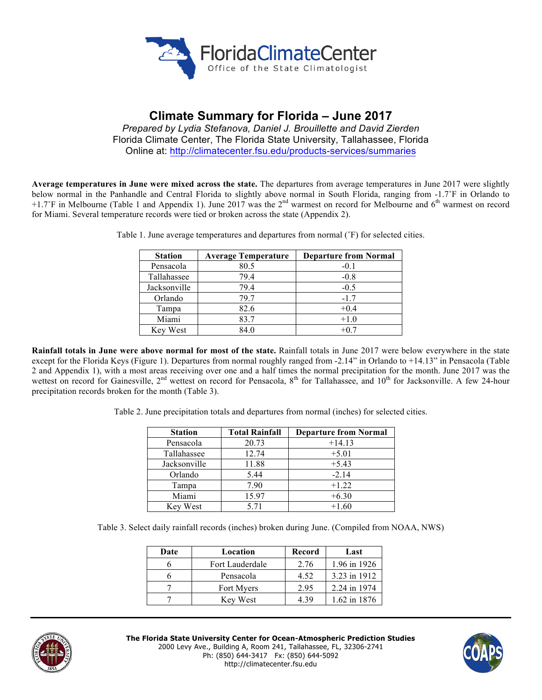

# **Climate Summary for Florida – June 2017**

*Prepared by Lydia Stefanova, Daniel J. Brouillette and David Zierden* Florida Climate Center, The Florida State University, Tallahassee, Florida Online at: http://climatecenter.fsu.edu/products-services/summaries

**Average temperatures in June were mixed across the state.** The departures from average temperatures in June 2017 were slightly below normal in the Panhandle and Central Florida to slightly above normal in South Florida, ranging from -1.7<sup>°</sup>F in Orlando to +1.7°F in Melbourne (Table 1 and Appendix 1). June 2017 was the  $2<sup>nd</sup>$  warmest on record for Melbourne and  $6<sup>th</sup>$  warmest on record for Miami. Several temperature records were tied or broken across the state (Appendix 2).

| <b>Station</b> | <b>Average Temperature</b> | <b>Departure from Normal</b> |
|----------------|----------------------------|------------------------------|
| Pensacola      | 80.5                       | $-0.1$                       |
| Tallahassee    | 79.4                       | $-0.8$                       |
| Jacksonville   | 79.4                       | $-0.5$                       |
| Orlando        | 79.7                       | $-1.7$                       |
| Tampa          | 82.6                       | $+0.4$                       |
| Miami          | 83.7                       | $+1.0$                       |
| Key West       | 84.0                       | $+0.7$                       |

Table 1. June average temperatures and departures from normal (˚F) for selected cities.

**Rainfall totals in June were above normal for most of the state.** Rainfall totals in June 2017 were below everywhere in the state except for the Florida Keys (Figure 1). Departures from normal roughly ranged from -2.14" in Orlando to +14.13" in Pensacola (Table 2 and Appendix 1), with a most areas receiving over one and a half times the normal precipitation for the month. June 2017 was the wettest on record for Gainesville, 2<sup>nd</sup> wettest on record for Pensacola, 8<sup>th</sup> for Tallahassee, and 10<sup>th</sup> for Jacksonville. A few 24-hour precipitation records broken for the month (Table 3).

Table 2. June precipitation totals and departures from normal (inches) for selected cities.

| <b>Station</b> | <b>Total Rainfall</b> | <b>Departure from Normal</b> |
|----------------|-----------------------|------------------------------|
| Pensacola      | 20.73                 | $+14.13$                     |
| Tallahassee    | 12.74                 | $+5.01$                      |
| Jacksonville   | 11.88                 | $+5.43$                      |
| Orlando        | 5.44                  | $-2.14$                      |
| Tampa          | 7.90                  | $+1.22$                      |
| Miami          | 15.97                 | $+6.30$                      |
| Key West       | 5.71                  | $+1.60$                      |

Table 3. Select daily rainfall records (inches) broken during June. (Compiled from NOAA, NWS)

| Date | Location               | Record | Last         |
|------|------------------------|--------|--------------|
|      | <b>Fort Lauderdale</b> | 2.76   | 1.96 in 1926 |
|      | Pensacola              | 4.52   | 3.23 in 1912 |
|      | Fort Myers             | 2.95   | 2.24 in 1974 |
|      | Key West               | 4 39   | 1.62 in 1876 |



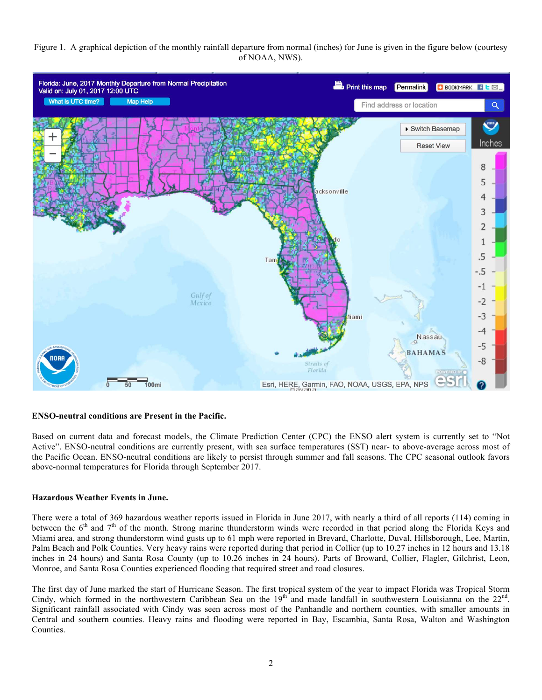## Figure 1. A graphical depiction of the monthly rainfall departure from normal (inches) for June is given in the figure below (courtesy of NOAA, NWS).



# **ENSO-neutral conditions are Present in the Pacific.**

Based on current data and forecast models, the Climate Prediction Center (CPC) the ENSO alert system is currently set to "Not Active". ENSO-neutral conditions are currently present, with sea surface temperatures (SST) near- to above-average across most of the Pacific Ocean. ENSO-neutral conditions are likely to persist through summer and fall seasons. The CPC seasonal outlook favors above-normal temperatures for Florida through September 2017.

#### **Hazardous Weather Events in June.**

There were a total of 369 hazardous weather reports issued in Florida in June 2017, with nearly a third of all reports (114) coming in between the  $6<sup>th</sup>$  and  $7<sup>th</sup>$  of the month. Strong marine thunderstorm winds were recorded in that period along the Florida Keys and Miami area, and strong thunderstorm wind gusts up to 61 mph were reported in Brevard, Charlotte, Duval, Hillsborough, Lee, Martin, Palm Beach and Polk Counties. Very heavy rains were reported during that period in Collier (up to 10.27 inches in 12 hours and 13.18 inches in 24 hours) and Santa Rosa County (up to 10.26 inches in 24 hours). Parts of Broward, Collier, Flagler, Gilchrist, Leon, Monroe, and Santa Rosa Counties experienced flooding that required street and road closures.

The first day of June marked the start of Hurricane Season. The first tropical system of the year to impact Florida was Tropical Storm Cindy, which formed in the northwestern Caribbean Sea on the  $19<sup>th</sup>$  and made landfall in southwestern Louisianna on the  $22<sup>nd</sup>$ . Significant rainfall associated with Cindy was seen across most of the Panhandle and northern counties, with smaller amounts in Central and southern counties. Heavy rains and flooding were reported in Bay, Escambia, Santa Rosa, Walton and Washington Counties.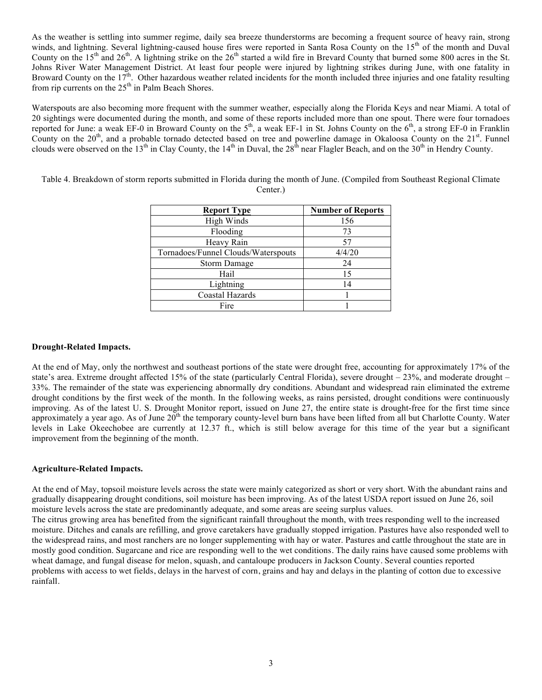As the weather is settling into summer regime, daily sea breeze thunderstorms are becoming a frequent source of heavy rain, strong winds, and lightning. Several lightning-caused house fires were reported in Santa Rosa County on the 15<sup>th</sup> of the month and Duval County on the  $15<sup>th</sup>$  and  $26<sup>th</sup>$ . A lightning strike on the  $26<sup>th</sup>$  started a wild fire in Brevard County that burned some 800 acres in the St. Johns River Water Management District. At least four people were injured by lightning strikes during June, with one fatality in Broward County on the 17<sup>th</sup>. Other hazardous weather related incidents for the month included three injuries and one fatality resulting from rip currents on the 25<sup>th</sup> in Palm Beach Shores.

Waterspouts are also becoming more frequent with the summer weather, especially along the Florida Keys and near Miami. A total of 20 sightings were documented during the month, and some of these reports included more than one spout. There were four tornadoes reported for June: a weak EF-0 in Broward County on the  $5<sup>th</sup>$ , a weak EF-1 in St. Johns County on the  $6<sup>th</sup>$ , a strong EF-0 in Franklin County on the  $20<sup>th</sup>$ , and a probable tornado detected based on tree and powerline damage in Okaloosa County on the  $21<sup>st</sup>$ . Funnel clouds were observed on the 13<sup>th</sup> in Clay County, the 14<sup>th</sup> in Duval, the 28<sup>th</sup> near Flagler Beach, and on the 30<sup>th</sup> in Hendry County.

| <b>Report Type</b>                  | <b>Number of Reports</b> |
|-------------------------------------|--------------------------|
| High Winds                          | 156                      |
| Flooding                            | 73                       |
| Heavy Rain                          | 57                       |
| Tornadoes/Funnel Clouds/Waterspouts | 4/4/20                   |
| <b>Storm Damage</b>                 | 24                       |
| Hail                                | 15                       |
| Lightning                           | 14                       |
| Coastal Hazards                     |                          |
| Fire                                |                          |

Table 4. Breakdown of storm reports submitted in Florida during the month of June. (Compiled from Southeast Regional Climate Center.)

## **Drought-Related Impacts.**

At the end of May, only the northwest and southeast portions of the state were drought free, accounting for approximately 17% of the state's area. Extreme drought affected 15% of the state (particularly Central Florida), severe drought – 23%, and moderate drought – 33%. The remainder of the state was experiencing abnormally dry conditions. Abundant and widespread rain eliminated the extreme drought conditions by the first week of the month. In the following weeks, as rains persisted, drought conditions were continuously improving. As of the latest U. S. Drought Monitor report, issued on June 27, the entire state is drought-free for the first time since approximately a year ago. As of June  $20<sup>th</sup>$  the temporary county-level burn bans have been lifted from all but Charlotte County. Water levels in Lake Okeechobee are currently at 12.37 ft., which is still below average for this time of the year but a significant improvement from the beginning of the month.

#### **Agriculture-Related Impacts.**

At the end of May, topsoil moisture levels across the state were mainly categorized as short or very short. With the abundant rains and gradually disappearing drought conditions, soil moisture has been improving. As of the latest USDA report issued on June 26, soil moisture levels across the state are predominantly adequate, and some areas are seeing surplus values.

The citrus growing area has benefited from the significant rainfall throughout the month, with trees responding well to the increased moisture. Ditches and canals are refilling, and grove caretakers have gradually stopped irrigation. Pastures have also responded well to the widespread rains, and most ranchers are no longer supplementing with hay or water. Pastures and cattle throughout the state are in mostly good condition. Sugarcane and rice are responding well to the wet conditions. The daily rains have caused some problems with wheat damage, and fungal disease for melon, squash, and cantaloupe producers in Jackson County. Several counties reported problems with access to wet fields, delays in the harvest of corn, grains and hay and delays in the planting of cotton due to excessive rainfall.